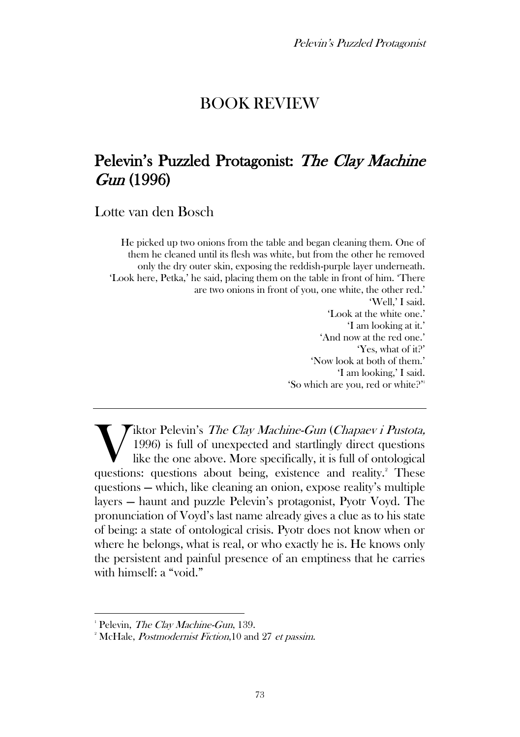## BOOK REVIEW

# Pelevin's Puzzled Protagonist: The Clay Machine Gun (1996)

Lotte van den Bosch

He picked up two onions from the table and began cleaning them. One of them he cleaned until its flesh was white, but from the other he removed only the dry outer skin, exposing the reddish-purple layer underneath. 'Look here, Petka,' he said, placing them on the table in front of him. 'There are two onions in front of you, one white, the other red.' 'Well,' I said. 'Look at the white one.' 'I am looking at it.' 'And now at the red one.' 'Yes, what of it?' 'Now look at both of them.' 'I am looking,' I said. 'So which are you, red or white?' 1

Tiktor Pelevin's The Clay Machine-Gun (Chapaev i Pustota, 1996) is full of unexpected and startlingly direct questions like the one above. More specifically, it is full of ontological Wiktor Pelevin's *The Clay Machine-Gun (Chapaev i Pustota,* 1996) is full of unexpected and startlingly direct questions like the one above. More specifically, it is full of ontological questions: questions about being, ex questions — which, like cleaning an onion, expose reality's multiple layers — haunt and puzzle Pelevin's protagonist, Pyotr Voyd. The pronunciation of Voyd's last name already gives a clue as to his state of being: a state of ontological crisis. Pyotr does not know when or where he belongs, what is real, or who exactly he is. He knows only the persistent and painful presence of an emptiness that he carries with himself: a "void."

<sup>&</sup>lt;sup>1</sup> Pelevin, *The Clay Machine-Gun*, 139.

<sup>&</sup>lt;sup>2</sup> McHale, *Postmodernist Fiction*, 10 and 27 *et passim.*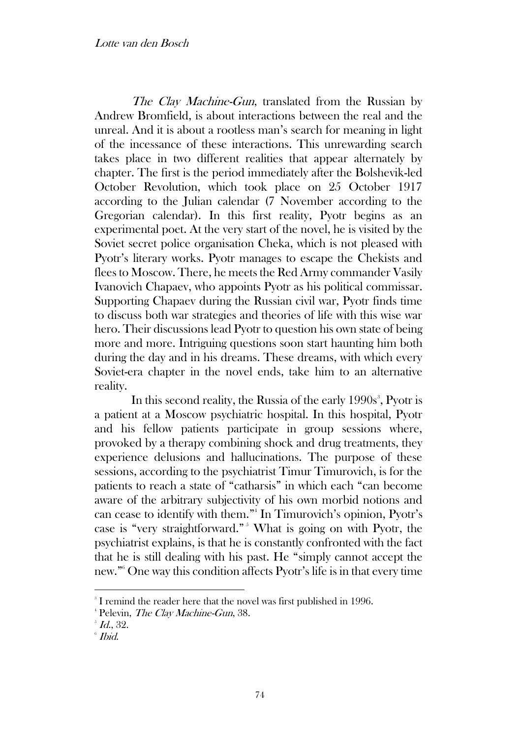The Clay Machine-Gun, translated from the Russian by Andrew Bromfield, is about interactions between the real and the unreal. And it is about a rootless man's search for meaning in light of the incessance of these interactions. This unrewarding search takes place in two different realities that appear alternately by chapter. The first is the period immediately after the Bolshevik-led October Revolution, which took place on 25 October 1917 according to the Julian calendar (7 November according to the Gregorian calendar). In this first reality, Pyotr begins as an experimental poet. At the very start of the novel, he is visited by the Soviet secret police organisation Cheka, which is not pleased with Pyotr's literary works. Pyotr manages to escape the Chekists and flees to Moscow. There, he meets the Red Army commander Vasily Ivanovich Chapaev, who appoints Pyotr as his political commissar. Supporting Chapaev during the Russian civil war, Pyotr finds time to discuss both war strategies and theories of life with this wise war hero. Their discussions lead Pyotr to question his own state of being more and more. Intriguing questions soon start haunting him both during the day and in his dreams. These dreams, with which every Soviet-era chapter in the novel ends, take him to an alternative reality.

In this second reality, the Russia of the early 1990s<sup>3</sup>, Pyotr is a patient at a Moscow psychiatric hospital. In this hospital, Pyotr and his fellow patients participate in group sessions where, provoked by a therapy combining shock and drug treatments, they experience delusions and hallucinations. The purpose of these sessions, according to the psychiatrist Timur Timurovich, is for the patients to reach a state of "catharsis" in which each "can become aware of the arbitrary subjectivity of his own morbid notions and can cease to identify with them." 4 In Timurovich's opinion, Pyotr's case is "very straightforward." <sup>5</sup> What is going on with Pyotr, the psychiatrist explains, is that he is constantly confronted with the fact that he is still dealing with his past. He "simply cannot accept the new." <sup>6</sup> One way this condition affects Pyotr's life is in that every time

<sup>&</sup>lt;sup>3</sup> I remind the reader here that the novel was first published in 1996.

<sup>&</sup>lt;sup>4</sup> Pelevin, *The Clay Machine-Gun*, 38.

 $^{\circ}$  Id., 32.

 $^{\circ}$  Ibid.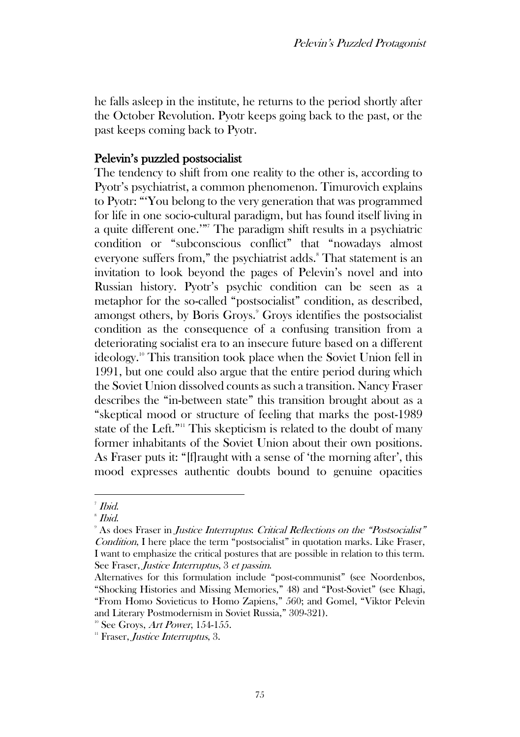he falls asleep in the institute, he returns to the period shortly after the October Revolution. Pyotr keeps going back to the past, or the past keeps coming back to Pyotr.

#### Pelevin's puzzled postsocialist

The tendency to shift from one reality to the other is, according to Pyotr's psychiatrist, a common phenomenon. Timurovich explains to Pyotr: "'You belong to the very generation that was programmed for life in one socio-cultural paradigm, but has found itself living in a quite different one.'"<sup>7</sup> The paradigm shift results in a psychiatric condition or "subconscious conflict" that "nowadays almost everyone suffers from," the psychiatrist adds.<sup>8</sup> That statement is an invitation to look beyond the pages of Pelevin's novel and into Russian history. Pyotr's psychic condition can be seen as a metaphor for the so-called "postsocialist" condition, as described, amongst others, by Boris Groys.<sup>9</sup> Groys identifies the postsocialist condition as the consequence of a confusing transition from a deteriorating socialist era to an insecure future based on a different ideology.<sup>10</sup> This transition took place when the Soviet Union fell in 1991, but one could also argue that the entire period during which the Soviet Union dissolved counts as such a transition. Nancy Fraser describes the "in-between state" this transition brought about as a "skeptical mood or structure of feeling that marks the post-1989 state of the Left."<sup>11</sup> This skepticism is related to the doubt of many former inhabitants of the Soviet Union about their own positions. As Fraser puts it: "[f]raught with a sense of 'the morning after', this mood expresses authentic doubts bound to genuine opacities

<sup>7</sup> Ibid.

 $^{\circ}$  Ibid.

<sup>&</sup>lt;sup>9</sup> As does Fraser in *Justice Interruptus: Critical Reflections on the "Postsocialist"* Condition, I here place the term "postsocialist" in quotation marks. Like Fraser, I want to emphasize the critical postures that are possible in relation to this term. See Fraser, Justice Interruptus, 3 et passim.

Alternatives for this formulation include "post-communist" (see Noordenbos, "Shocking Histories and Missing Memories," 48) and "Post-Soviet" (see Khagi, "From Homo Sovieticus to Homo Zapiens," 560; and Gomel, "Viktor Pelevin and Literary Postmodernism in Soviet Russia," 309-321).

 $10^{\circ}$  See Groys, Art Power, 154-155.

 $11$  Fraser, *Justice Interruptus*, 3.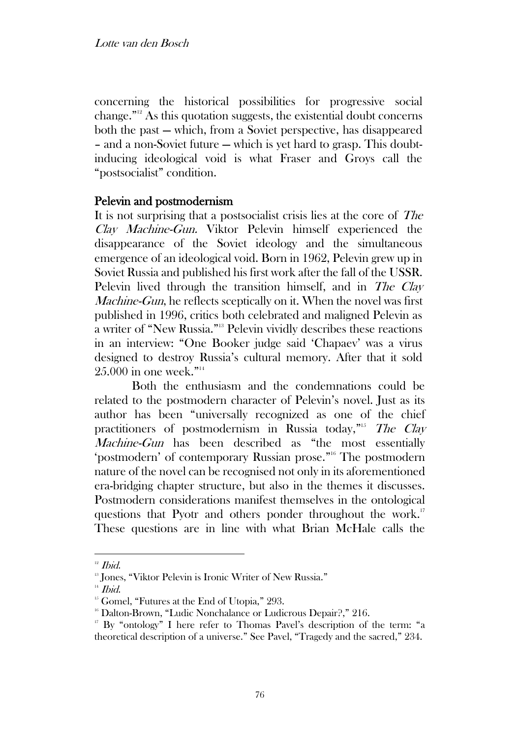concerning the historical possibilities for progressive social change." <sup>12</sup> As this quotation suggests, the existential doubt concerns both the past — which, from a Soviet perspective, has disappeared – and a non-Soviet future — which is yet hard to grasp. This doubtinducing ideological void is what Fraser and Groys call the "postsocialist" condition.

### Pelevin and postmodernism

It is not surprising that a postsocialist crisis lies at the core of The Clay Machine-Gun. Viktor Pelevin himself experienced the disappearance of the Soviet ideology and the simultaneous emergence of an ideological void. Born in 1962, Pelevin grew up in Soviet Russia and published his first work after the fall of the USSR. Pelevin lived through the transition himself, and in *The Clav* Machine-Gun, he reflects sceptically on it. When the novel was first published in 1996, critics both celebrated and maligned Pelevin as a writer of "New Russia." <sup>13</sup> Pelevin vividly describes these reactions in an interview: "One Booker judge said 'Chapaev' was a virus designed to destroy Russia's cultural memory. After that it sold 25.000 in one week." 14

Both the enthusiasm and the condemnations could be related to the postmodern character of Pelevin's novel. Just as its author has been "universally recognized as one of the chief practitioners of postmodernism in Russia today,"<sup>15</sup> The Clay Machine-Gun has been described as "the most essentially 'postmodern' of contemporary Russian prose." <sup>16</sup> The postmodern nature of the novel can be recognised not only in its aforementioned era-bridging chapter structure, but also in the themes it discusses. Postmodern considerations manifest themselves in the ontological questions that Pyotr and others ponder throughout the work.<sup>17</sup> These questions are in line with what Brian McHale calls the

 $12$  *Ibid.* 

<sup>&</sup>lt;sup>13</sup> Jones, "Viktor Pelevin is Ironic Writer of New Russia."

 $14$  *Ibid.* 

<sup>&</sup>lt;sup>15</sup> Gomel, "Futures at the End of Utopia," 293.

<sup>&</sup>lt;sup>16</sup> Dalton-Brown, "Ludic Nonchalance or Ludicrous Depair?," 216.

<sup>&</sup>lt;sup>17</sup> By "ontology" I here refer to Thomas Pavel's description of the term: "a theoretical description of a universe." See Pavel, "Tragedy and the sacred," 234.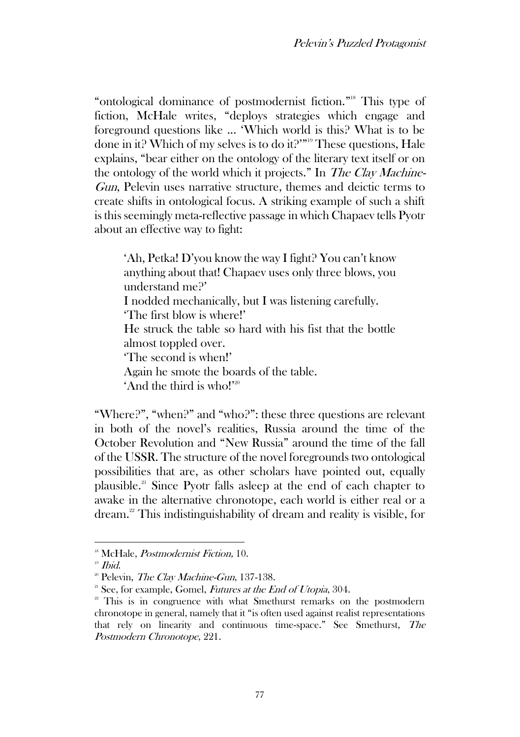"ontological dominance of postmodernist fiction."<sup>18</sup> This type of fiction, McHale writes, "deploys strategies which engage and foreground questions like ... 'Which world is this? What is to be done in it? Which of my selves is to do it?'"<sup>19</sup> These questions, Hale explains, "bear either on the ontology of the literary text itself or on the ontology of the world which it projects." In The Clay Machine-Gun, Pelevin uses narrative structure, themes and deictic terms to create shifts in ontological focus. A striking example of such a shift is this seemingly meta-reflective passage in which Chapaev tells Pyotr about an effective way to fight:

'Ah, Petka! D'you know the way I fight? You can't know anything about that! Chapaev uses only three blows, you understand me?' I nodded mechanically, but I was listening carefully. 'The first blow is where!' He struck the table so hard with his fist that the bottle almost toppled over. 'The second is when!' Again he smote the boards of the table. 'And the third is who!'<sup>20</sup>

"Where?", "when?" and "who?": these three questions are relevant in both of the novel's realities, Russia around the time of the October Revolution and "New Russia" around the time of the fall of the USSR. The structure of the novel foregrounds two ontological possibilities that are, as other scholars have pointed out, equally plausible.<sup>21</sup> Since Pyotr falls asleep at the end of each chapter to awake in the alternative chronotope, each world is either real or a dream.<sup>22</sup> This indistinguishability of dream and reality is visible, for

<sup>&</sup>lt;sup>18</sup> McHale, *Postmodernist Fiction*, 10.

 $19$  Ibid.

 $2^{\circ}$  Pelevin, *The Clay Machine-Gun*, 137-138.

 $21$  See, for example, Gomel, Futures at the End of Utopia, 304.

<sup>&</sup>lt;sup>22</sup> This is in congruence with what Smethurst remarks on the postmodern chronotope in general, namely that it "is often used against realist representations that rely on linearity and continuous time-space." See Smethurst, The Postmodern Chronotope, 221.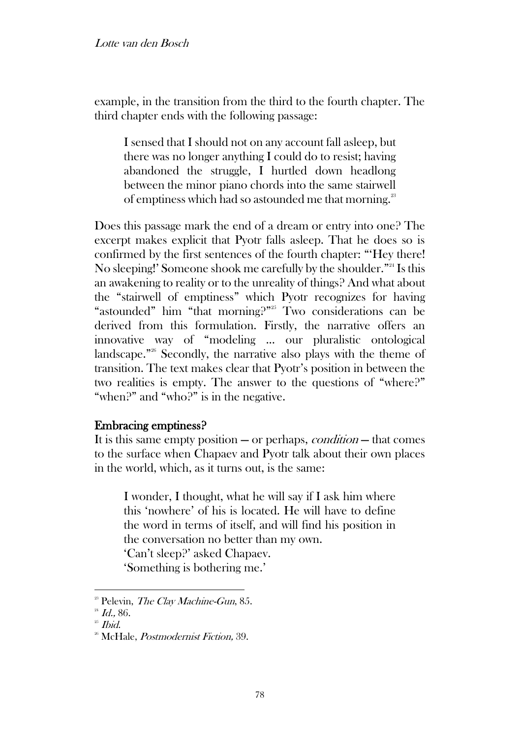example, in the transition from the third to the fourth chapter. The third chapter ends with the following passage:

I sensed that I should not on any account fall asleep, but there was no longer anything I could do to resist; having abandoned the struggle, I hurtled down headlong between the minor piano chords into the same stairwell of emptiness which had so astounded me that morning.<sup>23</sup>

Does this passage mark the end of a dream or entry into one? The excerpt makes explicit that Pyotr falls asleep. That he does so is confirmed by the first sentences of the fourth chapter: "'Hey there! No sleeping!' Someone shook me carefully by the shoulder." <sup>24</sup> Is this an awakening to reality or to the unreality of things? And what about the "stairwell of emptiness" which Pyotr recognizes for having "astounded" him "that morning?" <sup>25</sup> Two considerations can be derived from this formulation. Firstly, the narrative offers an innovative way of "modeling ... our pluralistic ontological landscape." <sup>26</sup> Secondly, the narrative also plays with the theme of transition. The text makes clear that Pyotr's position in between the two realities is empty. The answer to the questions of "where?" "when?" and "who?" is in the negative.

### Embracing emptiness?

It is this same empty position  $-$  or perhaps, *condition*  $-$  that comes to the surface when Chapaev and Pyotr talk about their own places in the world, which, as it turns out, is the same:

I wonder, I thought, what he will say if I ask him where this 'nowhere' of his is located. He will have to define the word in terms of itself, and will find his position in the conversation no better than my own. 'Can't sleep?' asked Chapaev. 'Something is bothering me.'

 $2^{\circ}$  Pelevin, *The Clay Machine-Gun*, 85.

 $^{24}$  *Id.*, 86.

 $25$  *Ibid.* 

<sup>&</sup>lt;sup>26</sup> McHale, *Postmodernist Fiction*, 39.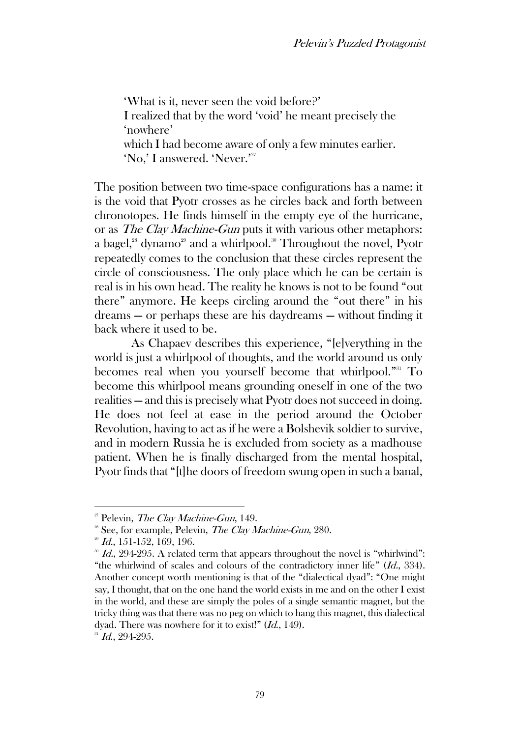'What is it, never seen the void before?' I realized that by the word 'void' he meant precisely the 'nowhere' which I had become aware of only a few minutes earlier. 'No,' I answered. 'Never.' 27

The position between two time-space configurations has a name: it is the void that Pyotr crosses as he circles back and forth between chronotopes. He finds himself in the empty eye of the hurricane, or as The Clay Machine-Gun puts it with various other metaphors: a bagel,<sup>28</sup> dynamo<sup>29</sup> and a whirlpool.<sup>30</sup> Throughout the novel, Pyotr repeatedly comes to the conclusion that these circles represent the circle of consciousness. The only place which he can be certain is real is in his own head. The reality he knows is not to be found "out there" anymore. He keeps circling around the "out there" in his dreams — or perhaps these are his daydreams — without finding it back where it used to be.

As Chapaev describes this experience, "[e]verything in the world is just a whirlpool of thoughts, and the world around us only becomes real when you yourself become that whirlpool."<sup>31</sup> To become this whirlpool means grounding oneself in one of the two realities — and this is precisely what Pyotr does not succeed in doing. He does not feel at ease in the period around the October Revolution, having to act as if he were a Bolshevik soldier to survive, and in modern Russia he is excluded from society as a madhouse patient. When he is finally discharged from the mental hospital, Pyotr finds that "[t]he doors of freedom swung open in such a banal,

 $^{31}$  Id., 294-295.

 $2^{\circ}$  Pelevin, *The Clay Machine-Gun*, 149.

 $28$  See, for example, Pelevin, *The Clay Machine-Gun*, 280.

 $2^{29}$  *Id.*, 151-152, 169, 196.

 $^{30}$  *Id.*, 294-295. A related term that appears throughout the novel is "whirlwind": "the whirlwind of scales and colours of the contradictory inner life" (Id., 334). Another concept worth mentioning is that of the "dialectical dyad": "One might say, I thought, that on the one hand the world exists in me and on the other I exist in the world, and these are simply the poles of a single semantic magnet, but the tricky thing was that there was no peg on which to hang this magnet, this dialectical dyad. There was nowhere for it to exist!" (Id., 149).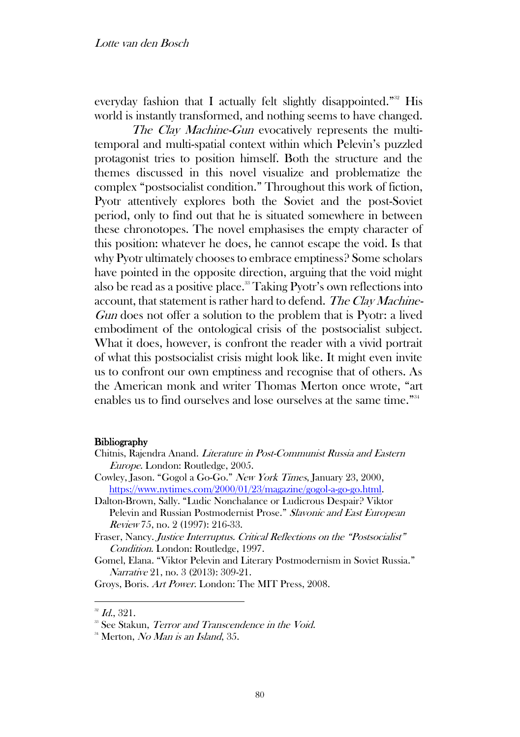everyday fashion that I actually felt slightly disappointed." <sup>32</sup> His world is instantly transformed, and nothing seems to have changed.

The Clay Machine-Gun evocatively represents the multitemporal and multi-spatial context within which Pelevin's puzzled protagonist tries to position himself. Both the structure and the themes discussed in this novel visualize and problematize the complex "postsocialist condition." Throughout this work of fiction, Pyotr attentively explores both the Soviet and the post-Soviet period, only to find out that he is situated somewhere in between these chronotopes. The novel emphasises the empty character of this position: whatever he does, he cannot escape the void. Is that why Pyotr ultimately chooses to embrace emptiness? Some scholars have pointed in the opposite direction, arguing that the void might also be read as a positive place.<sup>33</sup> Taking Pyotr's own reflections into account, that statement is rather hard to defend. The Clay Machine-Gun does not offer a solution to the problem that is Pyotr: a lived embodiment of the ontological crisis of the postsocialist subject. What it does, however, is confront the reader with a vivid portrait of what this postsocialist crisis might look like. It might even invite us to confront our own emptiness and recognise that of others. As the American monk and writer Thomas Merton once wrote, "art enables us to find ourselves and lose ourselves at the same time." 34

#### **Bibliography**

- Chitnis, Rajendra Anand. Literature in Post-Communist Russia and Eastern Europe. London: Routledge, 2005.
- Cowley, Jason. "Gogol a Go-Go." New York Times, January 23, 2000, https://www.nytimes.com/2000/01/23/magazine/gogol-a-go-go.html.
- Dalton-Brown, Sally. "Ludic Nonchalance or Ludicrous Despair? Viktor Pelevin and Russian Postmodernist Prose." Slavonic and East European Review 75, no. 2 (1997): 216-33.
- Fraser, Nancy. Justice Interruptus. Critical Reflections on the "Postsocialist" Condition. London: Routledge, 1997.
- Gomel, Elana. "Viktor Pelevin and Literary Postmodernism in Soviet Russia." Narrative 21, no. 3 (2013): 309-21.

Groys, Boris. Art Power. London: The MIT Press, 2008.

 $^{32}$  Id., 321.

<sup>&</sup>lt;sup>33</sup> See Stakun, Terror and Transcendence in the Void.

<sup>&</sup>lt;sup>34</sup> Merton, *No Man is an Island*, 35.